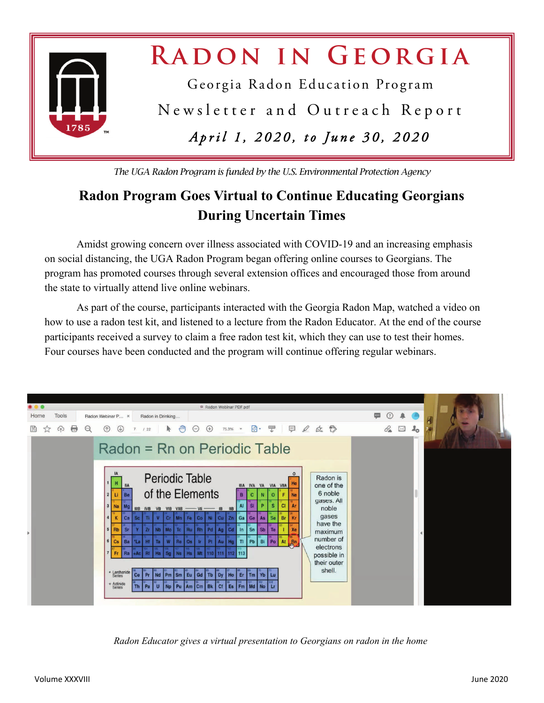

*The UGA Radon Program is funded by the U.S. Environmental Protection Agency* 

### **Radon Program Goes Virtual to Continue Educating Georgians During Uncertain Times**

 Amidst growing concern over illness associated with COVID-19 and an increasing emphasis on social distancing, the UGA Radon Program began offering online courses to Georgians. The program has promoted courses through several extension offices and encouraged those from around the state to virtually attend live online webinars.

 As part of the course, participants interacted with the Georgia Radon Map, watched a video on how to use a radon test kit, and listened to a lecture from the Radon Educator. At the end of the course participants received a survey to claim a free radon test kit, which they can use to test their homes. Four courses have been conducted and the program will continue offering regular webinars.



*Radon Educator gives a virtual presentation to Georgians on radon in the home*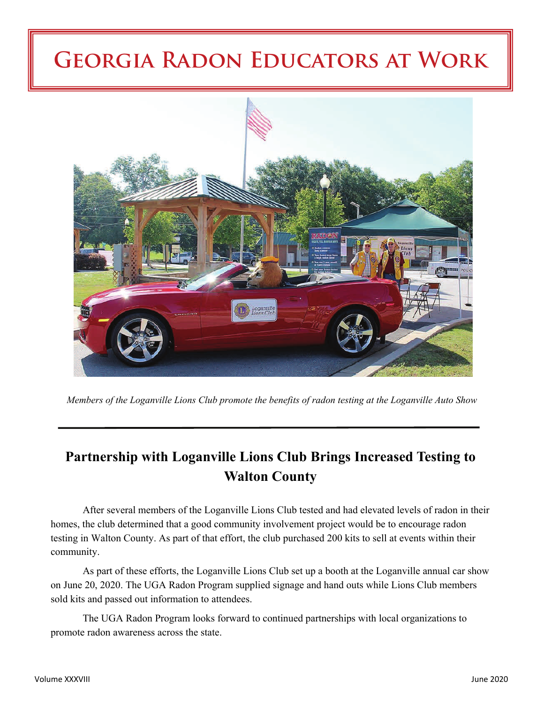## **Georgia Radon Educators at Work**



*Members of the Loganville Lions Club promote the benefits of radon testing at the Loganville Auto Show* 

### **Partnership with Loganville Lions Club Brings Increased Testing to Walton County**

 After several members of the Loganville Lions Club tested and had elevated levels of radon in their homes, the club determined that a good community involvement project would be to encourage radon testing in Walton County. As part of that effort, the club purchased 200 kits to sell at events within their community.

 As part of these efforts, the Loganville Lions Club set up a booth at the Loganville annual car show on June 20, 2020. The UGA Radon Program supplied signage and hand outs while Lions Club members sold kits and passed out information to attendees.

 The UGA Radon Program looks forward to continued partnerships with local organizations to promote radon awareness across the state.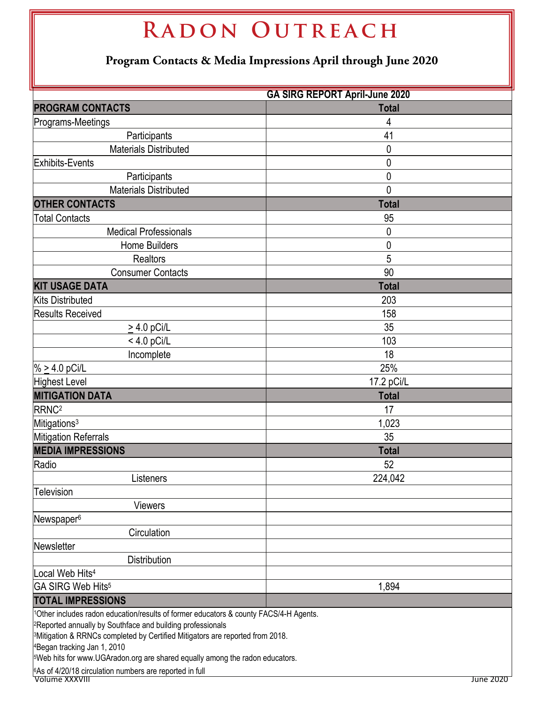| RADON OUTREACH                                                                                                                                                                                                                                                                                                                                                                                                                                                 |              |  |  |  |  |  |  |
|----------------------------------------------------------------------------------------------------------------------------------------------------------------------------------------------------------------------------------------------------------------------------------------------------------------------------------------------------------------------------------------------------------------------------------------------------------------|--------------|--|--|--|--|--|--|
| Program Contacts & Media Impressions April through June 2020                                                                                                                                                                                                                                                                                                                                                                                                   |              |  |  |  |  |  |  |
| <b>GA SIRG REPORT April-June 2020</b>                                                                                                                                                                                                                                                                                                                                                                                                                          |              |  |  |  |  |  |  |
| <b>PROGRAM CONTACTS</b>                                                                                                                                                                                                                                                                                                                                                                                                                                        | <b>Total</b> |  |  |  |  |  |  |
| Programs-Meetings                                                                                                                                                                                                                                                                                                                                                                                                                                              | 4            |  |  |  |  |  |  |
| Participants                                                                                                                                                                                                                                                                                                                                                                                                                                                   | 41           |  |  |  |  |  |  |
| <b>Materials Distributed</b>                                                                                                                                                                                                                                                                                                                                                                                                                                   | 0            |  |  |  |  |  |  |
| Exhibits-Events                                                                                                                                                                                                                                                                                                                                                                                                                                                | 0            |  |  |  |  |  |  |
| Participants                                                                                                                                                                                                                                                                                                                                                                                                                                                   | 0            |  |  |  |  |  |  |
| <b>Materials Distributed</b>                                                                                                                                                                                                                                                                                                                                                                                                                                   | 0            |  |  |  |  |  |  |
| <b>OTHER CONTACTS</b>                                                                                                                                                                                                                                                                                                                                                                                                                                          | <b>Total</b> |  |  |  |  |  |  |
| <b>Total Contacts</b>                                                                                                                                                                                                                                                                                                                                                                                                                                          | 95           |  |  |  |  |  |  |
| <b>Medical Professionals</b>                                                                                                                                                                                                                                                                                                                                                                                                                                   | 0            |  |  |  |  |  |  |
| <b>Home Builders</b>                                                                                                                                                                                                                                                                                                                                                                                                                                           | 0            |  |  |  |  |  |  |
| <b>Realtors</b>                                                                                                                                                                                                                                                                                                                                                                                                                                                | 5            |  |  |  |  |  |  |
| <b>Consumer Contacts</b>                                                                                                                                                                                                                                                                                                                                                                                                                                       | 90           |  |  |  |  |  |  |
| <b>KIT USAGE DATA</b>                                                                                                                                                                                                                                                                                                                                                                                                                                          | <b>Total</b> |  |  |  |  |  |  |
| <b>Kits Distributed</b>                                                                                                                                                                                                                                                                                                                                                                                                                                        | 203          |  |  |  |  |  |  |
| <b>Results Received</b>                                                                                                                                                                                                                                                                                                                                                                                                                                        | 158          |  |  |  |  |  |  |
| $\geq$ 4.0 pCi/L                                                                                                                                                                                                                                                                                                                                                                                                                                               | 35           |  |  |  |  |  |  |
| $< 4.0$ pCi/L                                                                                                                                                                                                                                                                                                                                                                                                                                                  | 103          |  |  |  |  |  |  |
| Incomplete                                                                                                                                                                                                                                                                                                                                                                                                                                                     | 18           |  |  |  |  |  |  |
| % $\geq$ 4.0 pCi/L                                                                                                                                                                                                                                                                                                                                                                                                                                             | 25%          |  |  |  |  |  |  |
| Highest Level                                                                                                                                                                                                                                                                                                                                                                                                                                                  | 17.2 pCi/L   |  |  |  |  |  |  |
| <b>MITIGATION DATA</b>                                                                                                                                                                                                                                                                                                                                                                                                                                         | <b>Total</b> |  |  |  |  |  |  |
| RRNC <sup>2</sup>                                                                                                                                                                                                                                                                                                                                                                                                                                              | 17           |  |  |  |  |  |  |
| Mitigations <sup>3</sup>                                                                                                                                                                                                                                                                                                                                                                                                                                       | 1,023        |  |  |  |  |  |  |
| Mitigation Referrals                                                                                                                                                                                                                                                                                                                                                                                                                                           | 35           |  |  |  |  |  |  |
| <b>MEDIA IMPRESSIONS</b>                                                                                                                                                                                                                                                                                                                                                                                                                                       | <b>Total</b> |  |  |  |  |  |  |
| Radio                                                                                                                                                                                                                                                                                                                                                                                                                                                          | 52           |  |  |  |  |  |  |
| Listeners                                                                                                                                                                                                                                                                                                                                                                                                                                                      | 224,042      |  |  |  |  |  |  |
| <b>Television</b>                                                                                                                                                                                                                                                                                                                                                                                                                                              |              |  |  |  |  |  |  |
| <b>Viewers</b>                                                                                                                                                                                                                                                                                                                                                                                                                                                 |              |  |  |  |  |  |  |
| Newspaper <sup>6</sup>                                                                                                                                                                                                                                                                                                                                                                                                                                         |              |  |  |  |  |  |  |
| Circulation                                                                                                                                                                                                                                                                                                                                                                                                                                                    |              |  |  |  |  |  |  |
| Newsletter                                                                                                                                                                                                                                                                                                                                                                                                                                                     |              |  |  |  |  |  |  |
| <b>Distribution</b>                                                                                                                                                                                                                                                                                                                                                                                                                                            |              |  |  |  |  |  |  |
| Local Web Hits <sup>4</sup>                                                                                                                                                                                                                                                                                                                                                                                                                                    |              |  |  |  |  |  |  |
| GA SIRG Web Hits <sup>5</sup>                                                                                                                                                                                                                                                                                                                                                                                                                                  | 1,894        |  |  |  |  |  |  |
| <b>TOTAL IMPRESSIONS</b>                                                                                                                                                                                                                                                                                                                                                                                                                                       |              |  |  |  |  |  |  |
| 1Other includes radon education/results of former educators & county FACS/4-H Agents.<br><sup>2</sup> Reported annually by Southface and building professionals<br><sup>3</sup> Mitigation & RRNCs completed by Certified Mitigators are reported from 2018.<br><sup>4</sup> Began tracking Jan 1, 2010<br><sup>5</sup> Web hits for www.UGAradon.org are shared equally among the radon educators.<br>6As of 4/20/18 circulation numbers are reported in full |              |  |  |  |  |  |  |
| Volume XXXVII                                                                                                                                                                                                                                                                                                                                                                                                                                                  | June 2020    |  |  |  |  |  |  |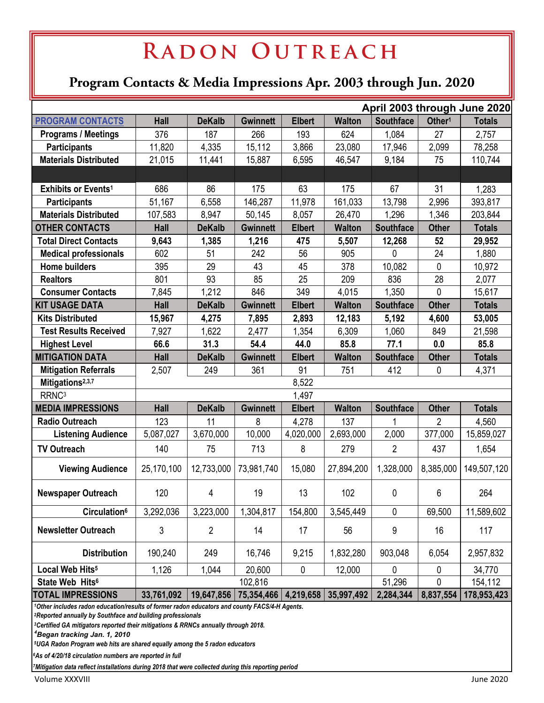# RADON OUTREACH

### **Program Contacts & Media Impressions Apr. 2003 through Jun. 2020**

|                                                                                               | April 2003 through June 2020 |                |                 |               |                                                  |                  |                    |               |  |  |
|-----------------------------------------------------------------------------------------------|------------------------------|----------------|-----------------|---------------|--------------------------------------------------|------------------|--------------------|---------------|--|--|
| <b>PROGRAM CONTACTS</b>                                                                       | <b>Hall</b>                  | <b>DeKalb</b>  | <b>Gwinnett</b> | <b>Elbert</b> | <b>Walton</b>                                    | <b>Southface</b> | Other <sup>1</sup> | <b>Totals</b> |  |  |
| <b>Programs / Meetings</b>                                                                    | 376                          | 187            | 266             | 193           | 624                                              | 1,084            | 27                 | 2,757         |  |  |
| <b>Participants</b>                                                                           | 11,820                       | 4,335          | 15,112          | 3,866         | 23,080                                           | 17,946           | 2,099              | 78,258        |  |  |
| <b>Materials Distributed</b>                                                                  | 21,015                       | 11,441         | 15,887          | 6,595         | 46,547                                           | 9,184            | 75                 | 110,744       |  |  |
|                                                                                               |                              |                |                 |               |                                                  |                  |                    |               |  |  |
| Exhibits or Events <sup>1</sup>                                                               | 686                          | 86             | 175             | 63            | 175                                              | 67               | 31                 | 1,283         |  |  |
| <b>Participants</b>                                                                           | 51,167                       | 6,558          | 146,287         | 11,978        | 161,033                                          | 13,798           | 2,996              | 393,817       |  |  |
| <b>Materials Distributed</b>                                                                  | 107,583                      | 8,947          | 50,145          | 8,057         | 26,470                                           | 1,296            | 1,346              | 203,844       |  |  |
| <b>OTHER CONTACTS</b>                                                                         | <b>Hall</b>                  | <b>DeKalb</b>  | <b>Gwinnett</b> | <b>Elbert</b> | <b>Walton</b>                                    | <b>Southface</b> | <b>Other</b>       | <b>Totals</b> |  |  |
| <b>Total Direct Contacts</b>                                                                  | 9,643                        | 1,385          | 1,216           | 475           | 5,507                                            | 12,268           | 52                 | 29,952        |  |  |
| <b>Medical professionals</b>                                                                  | 602                          | 51             | 242             | 56            | 905                                              | 0                | 24                 | 1,880         |  |  |
| <b>Home builders</b>                                                                          | 395                          | 29             | 43              | 45            | 378                                              | 10,082           | $\mathbf 0$        | 10,972        |  |  |
| <b>Realtors</b>                                                                               | 801                          | 93             | 85              | 25            | 209                                              | 836              | 28                 | 2,077         |  |  |
| <b>Consumer Contacts</b>                                                                      | 7,845                        | 1,212          | 846             | 349           | 4,015                                            | 1,350            | 0                  | 15,617        |  |  |
| <b>KIT USAGE DATA</b>                                                                         | Hall                         | <b>DeKalb</b>  | <b>Gwinnett</b> | <b>Elbert</b> | <b>Walton</b>                                    | <b>Southface</b> | <b>Other</b>       | <b>Totals</b> |  |  |
| <b>Kits Distributed</b>                                                                       | 15,967                       | 4,275          | 7,895           | 2,893         | 12,183                                           | 5,192            | 4,600              | 53,005        |  |  |
| <b>Test Results Received</b>                                                                  | 7,927                        | 1,622          | 2,477           | 1,354         | 6,309                                            | 1,060            | 849                | 21,598        |  |  |
| <b>Highest Level</b>                                                                          | 66.6                         | 31.3           | 54.4            | 44.0          | 85.8                                             | 77.1             | 0.0                | 85.8          |  |  |
| <b>MITIGATION DATA</b>                                                                        | Hall                         | <b>DeKalb</b>  | <b>Gwinnett</b> | <b>Elbert</b> | <b>Walton</b>                                    | <b>Southface</b> | <b>Other</b>       | <b>Totals</b> |  |  |
| <b>Mitigation Referrals</b>                                                                   | 2,507                        | 249            | 361             | 91            | 751                                              | 412              | 0                  | 4,371         |  |  |
| Mitigations <sup>2,3,7</sup>                                                                  | 8,522                        |                |                 |               |                                                  |                  |                    |               |  |  |
| RRNC <sup>3</sup>                                                                             | 1,497                        |                |                 |               |                                                  |                  |                    |               |  |  |
| <b>MEDIA IMPRESSIONS</b>                                                                      | <b>Hall</b>                  | <b>DeKalb</b>  | <b>Gwinnett</b> | <b>Elbert</b> | <b>Walton</b>                                    | <b>Southface</b> | <b>Other</b>       | <b>Totals</b> |  |  |
| <b>Radio Outreach</b>                                                                         | 123                          | 11             | 8               | 4,278         | 137                                              | 1                | $\overline{2}$     | 4,560         |  |  |
| <b>Listening Audience</b>                                                                     | 5,087,027                    | 3,670,000      | 10,000          | 4,020,000     | 2,693,000                                        | 2,000            | 377,000            | 15,859,027    |  |  |
| <b>TV Outreach</b>                                                                            | 140                          | 75             | 713             | 8             | 279                                              | $\overline{2}$   | 437                | 1,654         |  |  |
| <b>Viewing Audience</b>                                                                       | 25,170,100                   | 12,733,000     | 73,981,740      | 15,080        | 27,894,200                                       | 1,328,000        | 8,385,000          | 149,507,120   |  |  |
| <b>Newspaper Outreach</b>                                                                     | 120                          | 4              | 19              | 13            | 102                                              | $\mathbf{0}$     | 6                  | 264           |  |  |
| <b>Circulation</b> <sup>6</sup>                                                               | 3,292,036                    | 3,223,000      | 1,304,817       | 154,800       | 3,545,449                                        | $\mathbf 0$      | 69,500             | 11,589,602    |  |  |
| <b>Newsletter Outreach</b>                                                                    | 3                            | $\overline{2}$ | 14              | 17            | 56                                               | 9                | 16                 | 117           |  |  |
| <b>Distribution</b>                                                                           | 190,240                      | 249            | 16,746          | 9,215         | 1,832,280                                        | 903,048          | 6,054              | 2,957,832     |  |  |
| Local Web Hits <sup>5</sup>                                                                   | 1,126                        | 1,044          | 20,600          | 0             | 12,000                                           | $\mathbf 0$      | 0                  | 34,770        |  |  |
| State Web Hits <sup>6</sup>                                                                   | 102,816                      |                |                 |               | 51,296                                           | 0                | 154,112            |               |  |  |
| <b>TOTAL IMPRESSIONS</b>                                                                      | 33,761,092                   |                |                 |               | 19,647,856   75,354,466   4,219,658   35,997,492 | 2,284,344        | 8,837,554          | 178,953,423   |  |  |
| 1Other includes radon education/results of former radon educators and county FACS/4-H Agents. |                              |                |                 |               |                                                  |                  |                    |               |  |  |

 *2Reported annually by Southface and building professionals* 

 *3Certified GA mitigators reported their mitigations & RRNCs annually through 2018.* 

 *4Began tracking Jan. 1, 2010* 

 *5UGA Radon Program web hits are shared equally among the 5 radon educators* 

*6As of 4/20/18 circulation numbers are reported in full* 

*7Mitigation data reflect installations during 2018 that were collected during this reporting period*